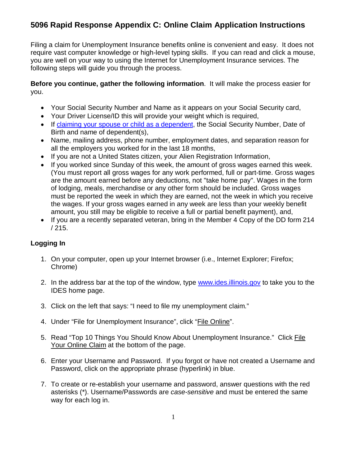Filing a claim for Unemployment Insurance benefits online is convenient and easy. It does not require vast computer knowledge or high-level typing skills. If you can read and click a mouse, you are well on your way to using the Internet for Unemployment Insurance services. The following steps will guide you through the process.

## **Before you continue, gather the following information**. It will make the process easier for you.

- Your Social Security Number and Name as it appears on your Social Security card,
- Your Driver License/ID this will provide your weight which is required,
- If [claiming your spouse or child as a dependent,](http://www.ides.illinois.gov/IDES%20Forms%20and%20Publications/CLI101L.pdf) the Social Security Number, Date of Birth and name of dependent(s),
- Name, mailing address, phone number, employment dates, and separation reason for all the employers you worked for in the last 18 months,
- If you are not a United States citizen, your Alien Registration Information,
- If you worked since Sunday of this week, the amount of gross wages earned this week. (You must report all gross wages for any work performed, full or part-time. Gross wages are the amount earned before any deductions, not "take home pay". Wages in the form of lodging, meals, merchandise or any other form should be included. Gross wages must be reported the week in which they are earned, not the week in which you receive the wages. If your gross wages earned in any week are less than your weekly benefit amount, you still may be eligible to receive a full or partial benefit payment), and,
- If you are a recently separated veteran, bring in the Member 4 Copy of the DD form 214 / 215.

## **Logging In**

- 1. On your computer, open up your Internet browser (i.e., Internet Explorer; Firefox; Chrome)
- 2. In the address bar at the top of the window, type [www.ides.illinois.gov](http://www.ides.illinois.gov/) to take you to the IDES home page.
- 3. Click on the left that says: "I need to file my unemployment claim."
- 4. Under "File for Unemployment Insurance", click "File Online".
- 5. Read "Top 10 Things You Should Know About Unemployment Insurance." Click File Your Online Claim at the bottom of the page.
- 6. Enter your Username and Password. If you forgot or have not created a Username and Password, click on the appropriate phrase (hyperlink) in blue.
- 7. To create or re-establish your username and password, answer questions with the red asterisks (\*). Username/Passwords are *case-sensitive* and must be entered the same way for each log in.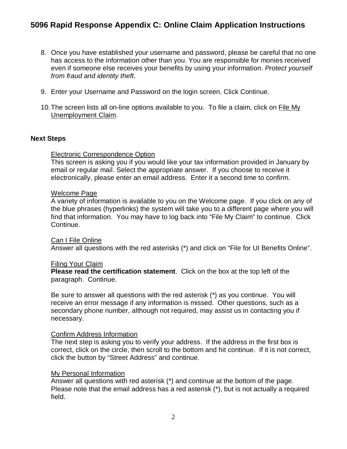- 8. Once you have established your username and password, please be careful that no one has access to the information other than you. You are responsible for monies received even if someone else receives your benefits by using your information. *Protect yourself from fraud and identity theft.*
- 9. Enter your Username and Password on the login screen. Click Continue.
- 10.The screen lists all on-line options available to you. To file a claim, click on File My Unemployment Claim.

### **Next Steps**

### Electronic Correspondence Option

This screen is asking you if you would like your tax information provided in January by email or regular mail. Select the appropriate answer. If you choose to receive it electronically, please enter an email address. Enter it a second time to confirm.

#### Welcome Page

A variety of information is available to you on the Welcome page. If you click on any of the blue phrases (hyperlinks) the system will take you to a different page where you will find that information. You may have to log back into "File My Claim" to continue. Click Continue.

#### Can I File Online

Answer all questions with the red asterisks (\*) and click on "File for UI Benefits Online".

#### Filing Your Claim

**Please read the certification statement**. Click on the box at the top left of the paragraph. Continue.

Be sure to answer all questions with the red asterisk (\*) as you continue. You will receive an error message if any information is missed. Other questions, such as a secondary phone number, although not required, may assist us in contacting you if necessary.

#### Confirm Address Information

The next step is asking you to verify your address. If the address in the first box is correct, click on the circle, then scroll to the bottom and hit continue. If it is not correct, click the button by "Street Address" and continue.

#### My Personal Information

Answer all questions with red asterisk (\*) and continue at the bottom of the page. Please note that the email address has a red asterisk (\*), but is not actually a required field.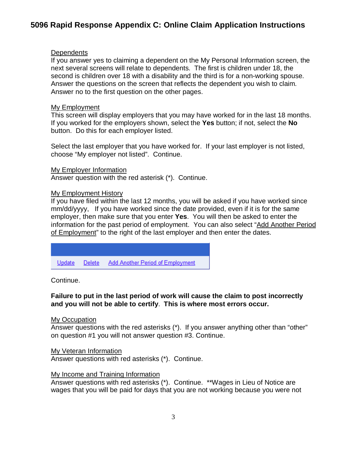## **Dependents**

If you answer yes to claiming a dependent on the My Personal Information screen, the next several screens will relate to dependents. The first is children under 18, the second is children over 18 with a disability and the third is for a non-working spouse. Answer the questions on the screen that reflects the dependent you wish to claim. Answer no to the first question on the other pages.

## My Employment

This screen will display employers that you may have worked for in the last 18 months. If you worked for the employers shown, select the **Yes** button; if not, select the **No**  button. Do this for each employer listed.

Select the last employer that you have worked for. If your last employer is not listed, choose "My employer not listed". Continue.

### My Employer Information

Answer question with the red asterisk (\*). Continue.

### My Employment History

If you have filed within the last 12 months, you will be asked if you have worked since mm/dd/yyyy, If you have worked since the date provided, even if it is for the same employer, then make sure that you enter **Yes**. You will then be asked to enter the information for the past period of employment. You can also select "Add Another Period of Employment" to the right of the last employer and then enter the dates.

Delete Add Another Period of Employment Update

Continue.

## **Failure to put in the last period of work will cause the claim to post incorrectly and you will not be able to certify**. **This is where most errors occur.**

My Occupation

Answer questions with the red asterisks (\*). If you answer anything other than "other" on question #1 you will not answer question #3. Continue.

My Veteran Information

Answer questions with red asterisks (\*). Continue.

## My Income and Training Information

Answer questions with red asterisks (\*). Continue. \*\*Wages in Lieu of Notice are wages that you will be paid for days that you are not working because you were not